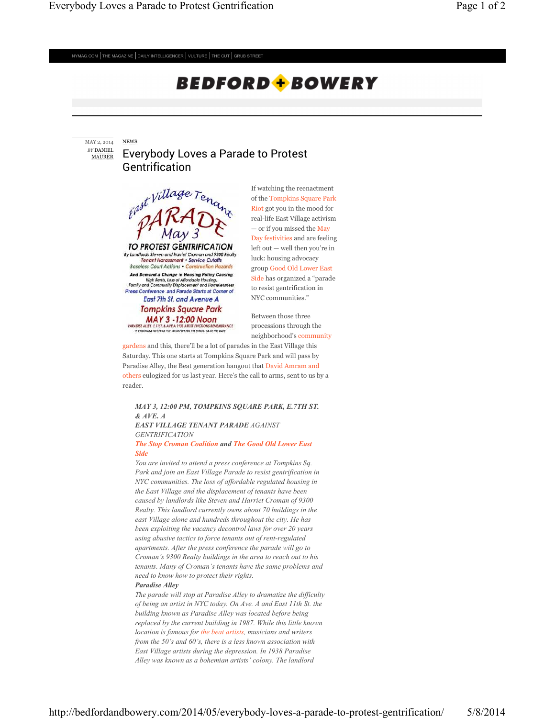$NYMAG.COM$  THE MAGAZINE DAILY INTELLIGENCER VULTURE THE CUT GRUB STREET

# **BEDFORD + BOWERY**

NEWS MAY 2, 2014 *BY* DANIEL MAURER

## Everybody Loves a Parade to Protest Gentrification



If watching the reenactment of the Tompkins Square Park Riot got you in the mood for real-life East Village activism — or if you missed the May Day festivities and are feeling left out — well then you're in luck: housing advocacy group Good Old Lower East Side has organized a "parade to resist gentrification in NYC communities."

Between those three processions through the neighborhood's community

gardens and this, there'll be a lot of parades in the East Village this Saturday. This one starts at Tompkins Square Park and will pass by

Paradise Alley, the Beat generation hangout that David Amram and others eulogized for us last year. Here's the call to arms, sent to us by a reader.

### *MAY 3, 12:00 PM, TOMPKINS SQUARE PARK, E.7TH ST. & AVE. A EAST VILLAGE TENANT PARADE AGAINST*

*GENTRIFICATION*

#### *The Stop Croman Coalition and The Good Old Lower East Side*

*You are invited to attend a press conference at Tompkins Sq. Park and join an East Village Parade to resist gentrification in NYC communities. The loss of affordable regulated housing in the East Village and the displacement of tenants have been caused by landlords like Steven and Harriet Croman of 9300 Realty. This landlord currently owns about 70 buildings in the east Village alone and hundreds throughout the city. He has been exploiting the vacancy decontrol laws for over 20 years using abusive tactics to force tenants out of rent-regulated apartments. After the press conference the parade will go to Croman's 9300 Realty buildings in the area to reach out to his tenants. Many of Croman's tenants have the same problems and need to know how to protect their rights.*

#### *Paradise Alley*

*The parade will stop at Paradise Alley to dramatize the difficulty of being an artist in NYC today. On Ave. A and East 11th St. the building known as Paradise Alley was located before being replaced by the current building in 1987. While this little known location is famous for the beat artists, musicians and writers from the 50's and 60's, there is a less known association with East Village artists during the depression. In 1938 Paradise Alley was known as a bohemian artists' colony. The landlord*